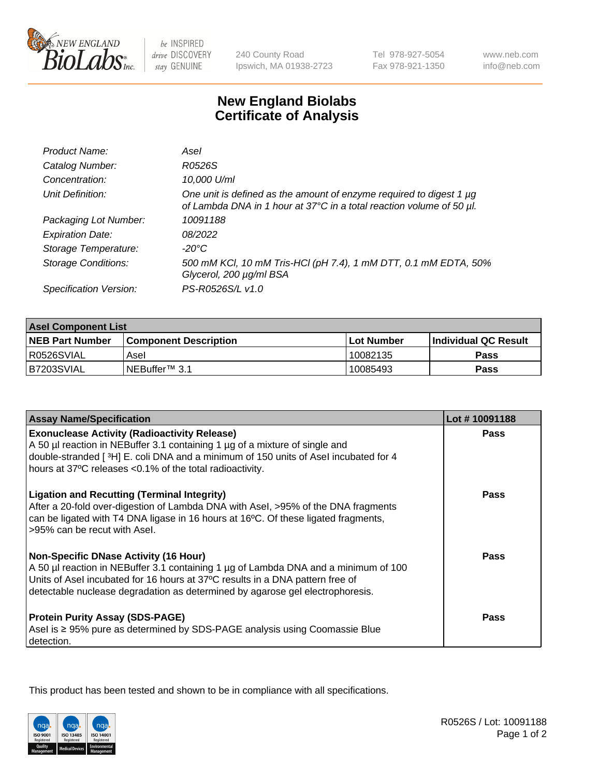

be INSPIRED drive DISCOVERY stay GENUINE

240 County Road Ipswich, MA 01938-2723 Tel 978-927-5054 Fax 978-921-1350

www.neb.com info@neb.com

## **New England Biolabs Certificate of Analysis**

| Product Name:              | Asel                                                                                                                                        |
|----------------------------|---------------------------------------------------------------------------------------------------------------------------------------------|
| Catalog Number:            | R0526S                                                                                                                                      |
| Concentration:             | 10,000 U/ml                                                                                                                                 |
| Unit Definition:           | One unit is defined as the amount of enzyme required to digest 1 µg<br>of Lambda DNA in 1 hour at 37°C in a total reaction volume of 50 µl. |
| Packaging Lot Number:      | 10091188                                                                                                                                    |
| <b>Expiration Date:</b>    | 08/2022                                                                                                                                     |
| Storage Temperature:       | $-20^{\circ}$ C                                                                                                                             |
| <b>Storage Conditions:</b> | 500 mM KCI, 10 mM Tris-HCI (pH 7.4), 1 mM DTT, 0.1 mM EDTA, 50%<br>Glycerol, 200 µg/ml BSA                                                  |
| Specification Version:     | PS-R0526S/L v1.0                                                                                                                            |

| <b>Asel Component List</b> |                              |              |                             |  |
|----------------------------|------------------------------|--------------|-----------------------------|--|
| <b>NEB Part Number</b>     | <b>Component Description</b> | l Lot Number | <b>Individual QC Result</b> |  |
| I R0526SVIAL               | Asel                         | 10082135     | <b>Pass</b>                 |  |
| B7203SVIAL                 | INEBuffer™ 3.1               | 10085493     | Pass                        |  |

| <b>Assay Name/Specification</b>                                                                                                                                                                                                                                                                       | Lot #10091188 |
|-------------------------------------------------------------------------------------------------------------------------------------------------------------------------------------------------------------------------------------------------------------------------------------------------------|---------------|
| <b>Exonuclease Activity (Radioactivity Release)</b><br>A 50 µl reaction in NEBuffer 3.1 containing 1 µg of a mixture of single and                                                                                                                                                                    | <b>Pass</b>   |
| double-stranded [3H] E. coli DNA and a minimum of 150 units of Asel incubated for 4<br>hours at 37°C releases <0.1% of the total radioactivity.                                                                                                                                                       |               |
| <b>Ligation and Recutting (Terminal Integrity)</b><br>After a 20-fold over-digestion of Lambda DNA with Asel, >95% of the DNA fragments<br>can be ligated with T4 DNA ligase in 16 hours at 16°C. Of these ligated fragments,<br>>95% can be recut with Asel.                                         | Pass          |
| <b>Non-Specific DNase Activity (16 Hour)</b><br>A 50 µl reaction in NEBuffer 3.1 containing 1 µg of Lambda DNA and a minimum of 100<br>Units of Asel incubated for 16 hours at 37°C results in a DNA pattern free of<br>detectable nuclease degradation as determined by agarose gel electrophoresis. | <b>Pass</b>   |
| <b>Protein Purity Assay (SDS-PAGE)</b><br>Asel is ≥ 95% pure as determined by SDS-PAGE analysis using Coomassie Blue<br>detection.                                                                                                                                                                    | Pass          |

This product has been tested and shown to be in compliance with all specifications.